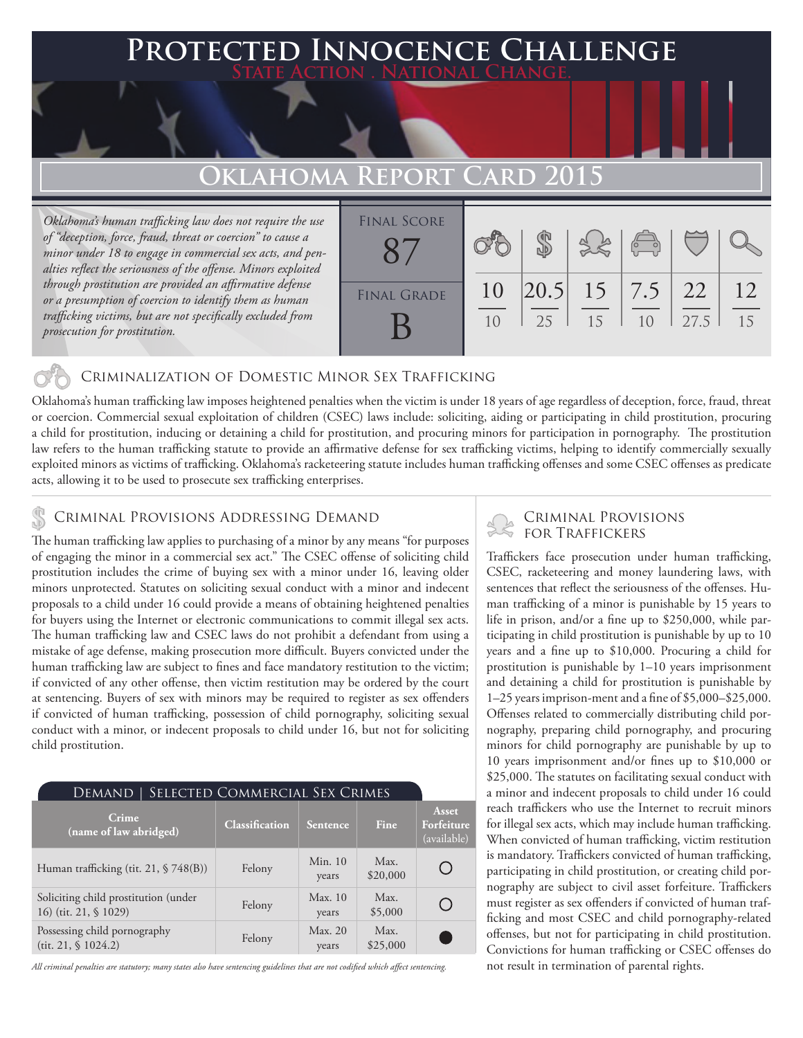### **FD INNOCENCE CHALLENGE State Action . National Change.**

## **Oklahoma Report**

*Oklahoma's human trafficking law does not require the use of "deception, force, fraud, threat or coercion" to cause a minor under 18 to engage in commercial sex acts, and penalties reflect the seriousness of the offense. Minors exploited through prostitution are provided an affirmative defense or a presumption of coercion to identify them as human trafficking victims, but are not specifically excluded from prosecution for prostitution.*

| <b>FINAL SCORE</b> |    |    |                        |                          |      |    |
|--------------------|----|----|------------------------|--------------------------|------|----|
|                    |    |    |                        | $\overline{\mathcal{C}}$ |      |    |
|                    |    |    |                        |                          |      |    |
| <b>FINAL GRADE</b> | 10 |    | $ 20.5 $ 15   7.5   22 |                          |      | 12 |
|                    | 10 | 25 | 15                     | 10                       | 27.5 | 15 |
|                    |    |    |                        |                          |      |    |

#### Criminalization of Domestic Minor Sex Trafficking

Oklahoma's human trafficking law imposes heightened penalties when the victim is under 18 years of age regardless of deception, force, fraud, threat or coercion. Commercial sexual exploitation of children (CSEC) laws include: soliciting, aiding or participating in child prostitution, procuring a child for prostitution, inducing or detaining a child for prostitution, and procuring minors for participation in pornography. The prostitution law refers to the human trafficking statute to provide an affirmative defense for sex trafficking victims, helping to identify commercially sexually exploited minors as victims of trafficking. Oklahoma's racketeering statute includes human trafficking offenses and some CSEC offenses as predicate acts, allowing it to be used to prosecute sex trafficking enterprises.

#### Criminal Provisions Addressing Demand

The human trafficking law applies to purchasing of a minor by any means "for purposes of engaging the minor in a commercial sex act." The CSEC offense of soliciting child prostitution includes the crime of buying sex with a minor under 16, leaving older minors unprotected. Statutes on soliciting sexual conduct with a minor and indecent proposals to a child under 16 could provide a means of obtaining heightened penalties for buyers using the Internet or electronic communications to commit illegal sex acts. The human trafficking law and CSEC laws do not prohibit a defendant from using a mistake of age defense, making prosecution more difficult. Buyers convicted under the human trafficking law are subject to fines and face mandatory restitution to the victim; if convicted of any other offense, then victim restitution may be ordered by the court at sentencing. Buyers of sex with minors may be required to register as sex offenders if convicted of human trafficking, possession of child pornography, soliciting sexual conduct with a minor, or indecent proposals to child under 16, but not for soliciting child prostitution.

| SELECTED COMMERCIAL SEX CRIMES<br>Demand                      |                       |                  |                  |                                    |  |  |  |
|---------------------------------------------------------------|-----------------------|------------------|------------------|------------------------------------|--|--|--|
| Crime<br>(name of law abridged)                               | <b>Classification</b> | Sentence         | Fine             | Asset<br>Forfeiture<br>(available) |  |  |  |
| Human trafficking (tit. 21, § 748(B))                         | Felony                | Min. 10<br>years | Max.<br>\$20,000 |                                    |  |  |  |
| Soliciting child prostitution (under<br>16) (tit. 21, § 1029) | Felony                | Max. 10<br>years | Max.<br>\$5,000  |                                    |  |  |  |
| Possessing child pornography<br>(tit. 21, $$1024.2$ )         | Felony                | Max. 20<br>years | Max.<br>\$25,000 |                                    |  |  |  |

*All criminal penalties are statutory; many states also have sentencing guidelines that are not codified which affect sentencing.* 

# Criminal Provisions

Traffickers face prosecution under human trafficking, CSEC, racketeering and money laundering laws, with sentences that reflect the seriousness of the offenses. Human trafficking of a minor is punishable by 15 years to life in prison, and/or a fine up to \$250,000, while participating in child prostitution is punishable by up to 10 years and a fine up to \$10,000. Procuring a child for prostitution is punishable by 1–10 years imprisonment and detaining a child for prostitution is punishable by 1–25 years imprison-ment and a fine of \$5,000–\$25,000. Offenses related to commercially distributing child pornography, preparing child pornography, and procuring minors for child pornography are punishable by up to 10 years imprisonment and/or fines up to \$10,000 or \$25,000. The statutes on facilitating sexual conduct with a minor and indecent proposals to child under 16 could reach traffickers who use the Internet to recruit minors for illegal sex acts, which may include human trafficking. When convicted of human trafficking, victim restitution is mandatory. Traffickers convicted of human trafficking, participating in child prostitution, or creating child pornography are subject to civil asset forfeiture. Traffickers must register as sex offenders if convicted of human trafficking and most CSEC and child pornography-related offenses, but not for participating in child prostitution. Convictions for human trafficking or CSEC offenses do not result in termination of parental rights.